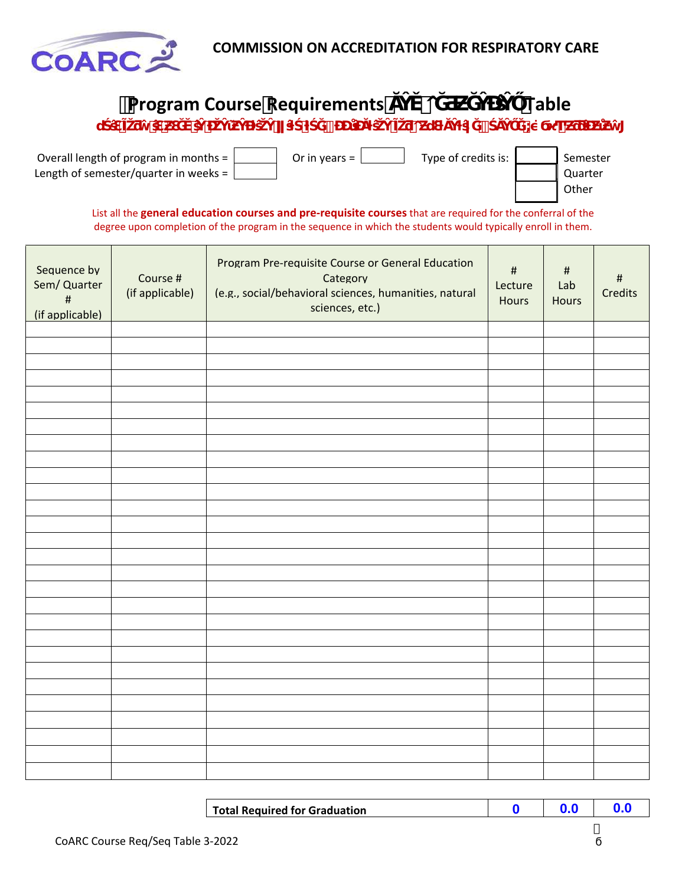

| <b>Program Course Requirements</b>                                             |                      |                                 | Table |  |                              |
|--------------------------------------------------------------------------------|----------------------|---------------------------------|-------|--|------------------------------|
| u                                                                              |                      |                                 |       |  |                              |
| Overall length of program in months =<br>Length of semester/quarter in weeks = | Or in years = $\Box$ | Type of credits is: $\parallel$ |       |  | Semester<br>Quarter<br>Other |

List all the **general education courses and pre‐requisite courses** that are required for the conferral of the degree upon completion of the program in the sequence in which the students would typically enroll in them.

| Sequence by<br>Sem/ Quarter<br>$\sharp$<br>(if applicable) | Course #<br>(if applicable) | Program Pre-requisite Course or General Education<br>Category<br>(e.g., social/behavioral sciences, humanities, natural<br>sciences, etc.) | $\#$<br>Lecture<br>Hours | $\#$<br>Lab<br><b>Hours</b> | $\#$<br><b>Credits</b> |
|------------------------------------------------------------|-----------------------------|--------------------------------------------------------------------------------------------------------------------------------------------|--------------------------|-----------------------------|------------------------|
|                                                            |                             |                                                                                                                                            |                          |                             |                        |
|                                                            |                             |                                                                                                                                            |                          |                             |                        |
|                                                            |                             |                                                                                                                                            |                          |                             |                        |
|                                                            |                             |                                                                                                                                            |                          |                             |                        |
|                                                            |                             |                                                                                                                                            |                          |                             |                        |
|                                                            |                             |                                                                                                                                            |                          |                             |                        |
|                                                            |                             |                                                                                                                                            |                          |                             |                        |
|                                                            |                             |                                                                                                                                            |                          |                             |                        |
|                                                            |                             |                                                                                                                                            |                          |                             |                        |
|                                                            |                             |                                                                                                                                            |                          |                             |                        |
|                                                            |                             |                                                                                                                                            |                          |                             |                        |
|                                                            |                             |                                                                                                                                            |                          |                             |                        |
|                                                            |                             |                                                                                                                                            |                          |                             |                        |
|                                                            |                             |                                                                                                                                            |                          |                             |                        |
|                                                            |                             |                                                                                                                                            |                          |                             |                        |
|                                                            |                             |                                                                                                                                            |                          |                             |                        |
|                                                            |                             |                                                                                                                                            |                          |                             |                        |
|                                                            |                             |                                                                                                                                            |                          |                             |                        |
|                                                            |                             |                                                                                                                                            |                          |                             |                        |
|                                                            |                             |                                                                                                                                            |                          |                             |                        |
|                                                            |                             |                                                                                                                                            |                          |                             |                        |
|                                                            |                             |                                                                                                                                            |                          |                             |                        |
|                                                            |                             |                                                                                                                                            |                          |                             |                        |
|                                                            |                             |                                                                                                                                            |                          |                             |                        |
|                                                            |                             |                                                                                                                                            |                          |                             |                        |
|                                                            |                             |                                                                                                                                            |                          |                             |                        |
|                                                            |                             |                                                                                                                                            |                          |                             |                        |

| <b>Total Required for Graduation</b> |  |  |
|--------------------------------------|--|--|
|                                      |  |  |

7